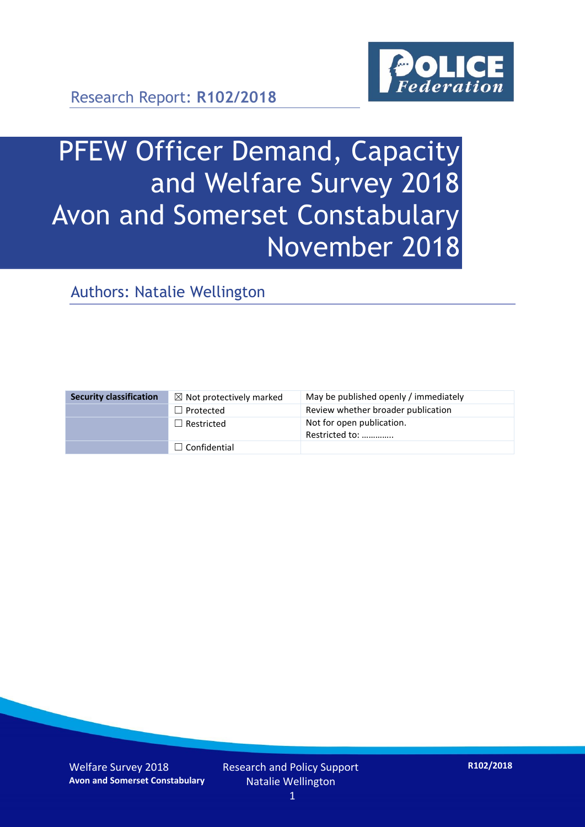

Research Report: **R102/2018**

# PFEW Officer Demand, Capacity and Welfare Survey 2018 Avon and Somerset Constabulary November 2018

Authors: Natalie Wellington

| <b>Security classification</b> | $\boxtimes$ Not protectively marked | May be published openly / immediately       |
|--------------------------------|-------------------------------------|---------------------------------------------|
|                                | $\Box$ Protected                    | Review whether broader publication          |
|                                | $\Box$ Restricted                   | Not for open publication.<br>Restricted to: |
|                                | $\Box$ Confidential                 |                                             |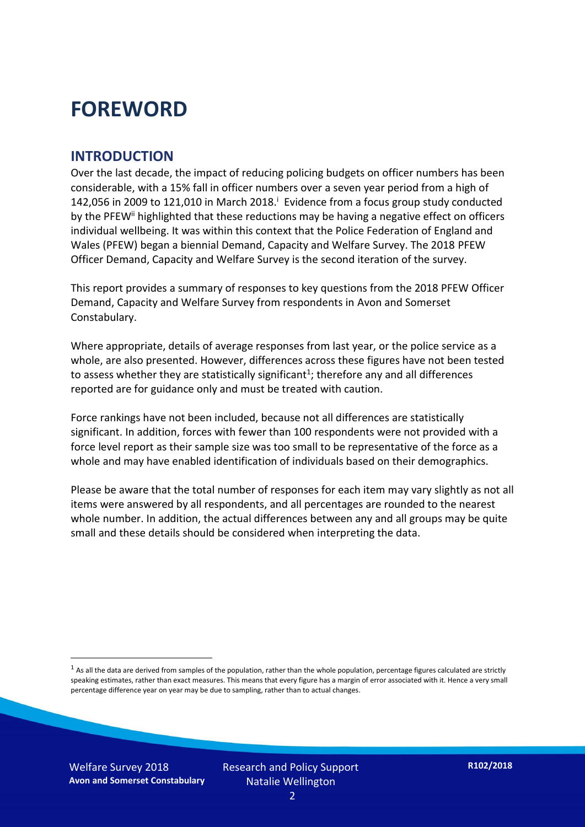## **FOREWORD**

#### **INTRODUCTION**

Over the last decade, the impact of reducing policing budgets on officer numbers has been considerable, with a 15% fall in officer numbers over a seven year period from a high of 142,056 in 2009 to 121,010 in March 2018. $^{\mathrm{i}}$  Evidence from a focus group study conducted by the PFEW<sup>ii</sup> highlighted that these reductions may be having a negative effect on officers individual wellbeing. It was within this context that the Police Federation of England and Wales (PFEW) began a biennial Demand, Capacity and Welfare Survey. The 2018 PFEW Officer Demand, Capacity and Welfare Survey is the second iteration of the survey.

This report provides a summary of responses to key questions from the 2018 PFEW Officer Demand, Capacity and Welfare Survey from respondents in Avon and Somerset Constabulary.

Where appropriate, details of average responses from last year, or the police service as a whole, are also presented. However, differences across these figures have not been tested to assess whether they are statistically significant<sup>1</sup>; therefore any and all differences reported are for guidance only and must be treated with caution.

Force rankings have not been included, because not all differences are statistically significant. In addition, forces with fewer than 100 respondents were not provided with a force level report as their sample size was too small to be representative of the force as a whole and may have enabled identification of individuals based on their demographics.

Please be aware that the total number of responses for each item may vary slightly as not all items were answered by all respondents, and all percentages are rounded to the nearest whole number. In addition, the actual differences between any and all groups may be quite small and these details should be considered when interpreting the data.

 $1$  As all the data are derived from samples of the population, rather than the whole population, percentage figures calculated are strictly speaking estimates, rather than exact measures. This means that every figure has a margin of error associated with it. Hence a very small percentage difference year on year may be due to sampling, rather than to actual changes.

-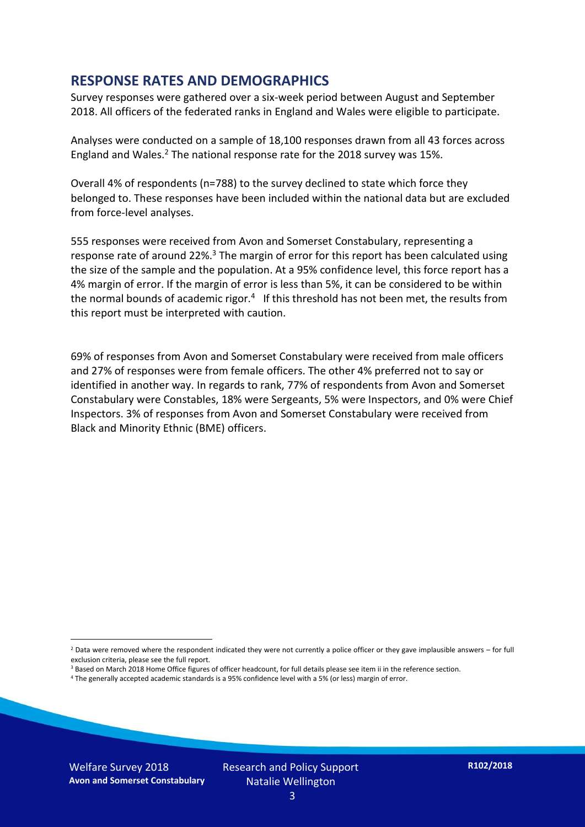#### **RESPONSE RATES AND DEMOGRAPHICS**

Survey responses were gathered over a six-week period between August and September 2018. All officers of the federated ranks in England and Wales were eligible to participate.

Analyses were conducted on a sample of 18,100 responses drawn from all 43 forces across England and Wales.<sup>2</sup> The national response rate for the 2018 survey was 15%.

Overall 4% of respondents (n=788) to the survey declined to state which force they belonged to. These responses have been included within the national data but are excluded from force-level analyses.

555 responses were received from Avon and Somerset Constabulary, representing a response rate of around 22%.<sup>3</sup> The margin of error for this report has been calculated using the size of the sample and the population. At a 95% confidence level, this force report has a 4% margin of error. If the margin of error is less than 5%, it can be considered to be within the normal bounds of academic rigor.<sup>4</sup> If this threshold has not been met, the results from this report must be interpreted with caution.

69% of responses from Avon and Somerset Constabulary were received from male officers and 27% of responses were from female officers. The other 4% preferred not to say or identified in another way. In regards to rank, 77% of respondents from Avon and Somerset Constabulary were Constables, 18% were Sergeants, 5% were Inspectors, and 0% were Chief Inspectors. 3% of responses from Avon and Somerset Constabulary were received from Black and Minority Ethnic (BME) officers.

- <sup>3</sup> Based on March 2018 Home Office figures of officer headcount, for full details please see item ii in the reference section.
- <sup>4</sup> The generally accepted academic standards is a 95% confidence level with a 5% (or less) margin of error.

-

 $2$  Data were removed where the respondent indicated they were not currently a police officer or they gave implausible answers – for full exclusion criteria, please see the full report.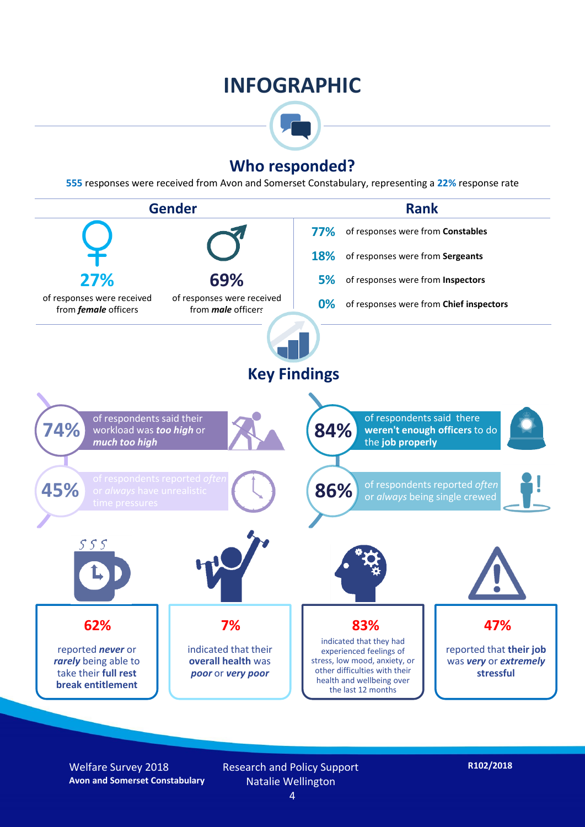## **INFOGRAPHIC**



## **Who responded?**

**555** responses were received from Avon and Somerset Constabulary, representing a **22%** response rate



Welfare Survey 2018 **Avon and Somerset Constabulary** Research and Policy Support Natalie Wellington

**R102/2018**

4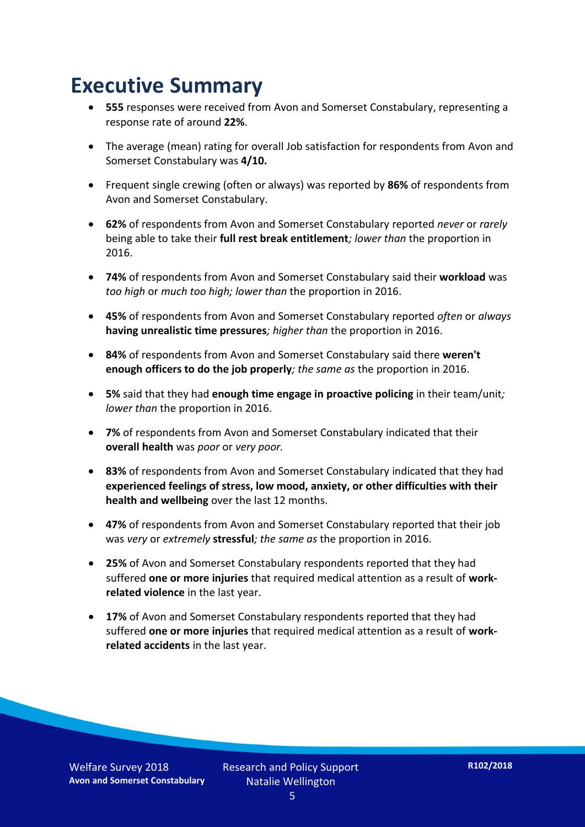## **Executive Summary**

- **555** responses were received from Avon and Somerset Constabulary, representing a response rate of around **22%**.
- The average (mean) rating for overall Job satisfaction for respondents from Avon and Somerset Constabulary was **4/10.**
- Frequent single crewing (often or always) was reported by **86%** of respondents from Avon and Somerset Constabulary.
- **62%** of respondents from Avon and Somerset Constabulary reported *never* or *rarely* being able to take their **full rest break entitlement***; lower than* the proportion in 2016.
- **74%** of respondents from Avon and Somerset Constabulary said their **workload** was *too high* or *much too high; lower than* the proportion in 2016.
- **45%** of respondents from Avon and Somerset Constabulary reported *often* or *always* **having unrealistic time pressures***; higher than* the proportion in 2016.
- **84%** of respondents from Avon and Somerset Constabulary said there **weren't enough officers to do the job properly***; the same as* the proportion in 2016.
- **5%** said that they had **enough time engage in proactive policing** in their team/unit*; lower than* the proportion in 2016.
- **7%** of respondents from Avon and Somerset Constabulary indicated that their **overall health** was *poor* or *very poor.*
- **83%** of respondents from Avon and Somerset Constabulary indicated that they had **experienced feelings of stress, low mood, anxiety, or other difficulties with their health and wellbeing** over the last 12 months.
- **47%** of respondents from Avon and Somerset Constabulary reported that their job was *very* or *extremely* **stressful***; the same as* the proportion in 2016.
- **25%** of Avon and Somerset Constabulary respondents reported that they had suffered **one or more injuries** that required medical attention as a result of **workrelated violence** in the last year.
- **17%** of Avon and Somerset Constabulary respondents reported that they had suffered **one or more injuries** that required medical attention as a result of **workrelated accidents** in the last year.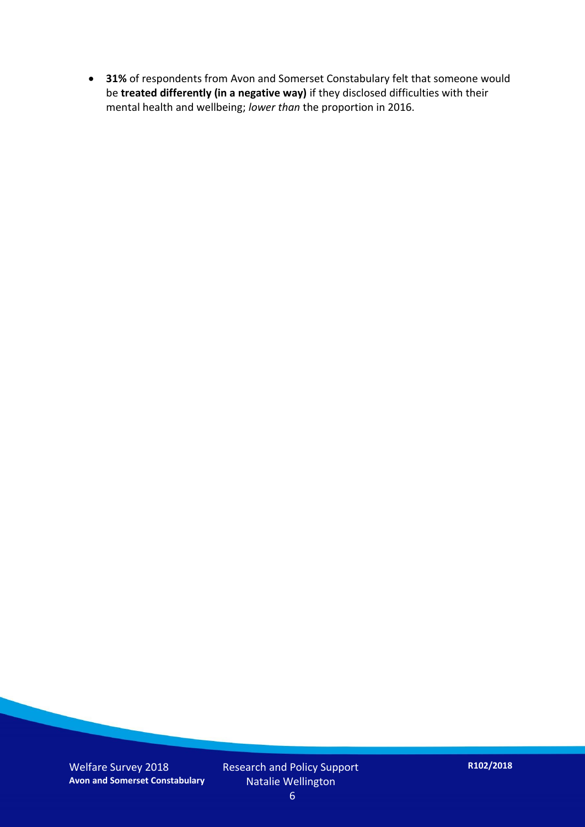**31%** of respondents from Avon and Somerset Constabulary felt that someone would be **treated differently (in a negative way)** if they disclosed difficulties with their mental health and wellbeing; *lower than* the proportion in 2016.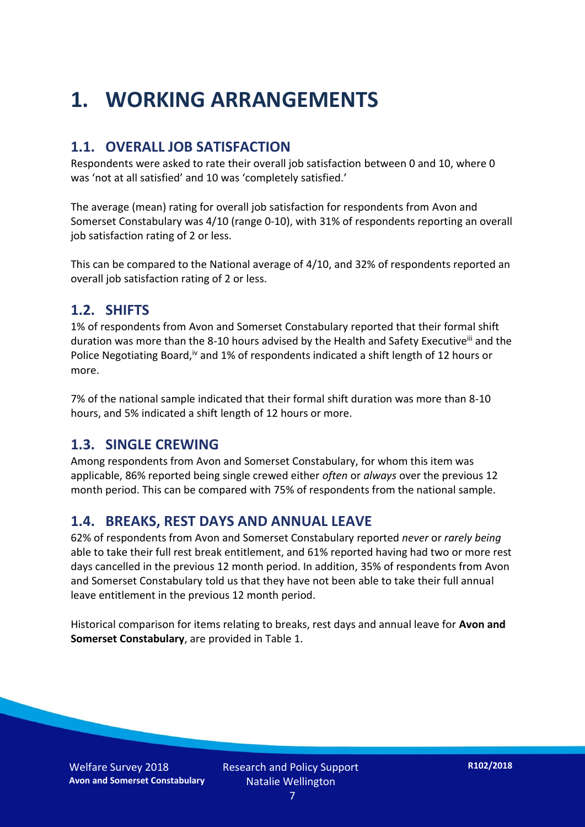## **1. WORKING ARRANGEMENTS**

#### **1.1. OVERALL JOB SATISFACTION**

Respondents were asked to rate their overall job satisfaction between 0 and 10, where 0 was 'not at all satisfied' and 10 was 'completely satisfied.'

The average (mean) rating for overall job satisfaction for respondents from Avon and Somerset Constabulary was 4/10 (range 0-10), with 31% of respondents reporting an overall job satisfaction rating of 2 or less.

This can be compared to the National average of 4/10, and 32% of respondents reported an overall job satisfaction rating of 2 or less.

#### **1.2. SHIFTS**

1% of respondents from Avon and Somerset Constabulary reported that their formal shift duration was more than the 8-10 hours advised by the Health and Safety Executive<sup>iii</sup> and the Police Negotiating Board,<sup>iv</sup> and 1% of respondents indicated a shift length of 12 hours or more.

7% of the national sample indicated that their formal shift duration was more than 8-10 hours, and 5% indicated a shift length of 12 hours or more.

#### **1.3. SINGLE CREWING**

Among respondents from Avon and Somerset Constabulary, for whom this item was applicable, 86% reported being single crewed either *often* or *always* over the previous 12 month period. This can be compared with 75% of respondents from the national sample.

### **1.4. BREAKS, REST DAYS AND ANNUAL LEAVE**

62% of respondents from Avon and Somerset Constabulary reported *never* or *rarely being* able to take their full rest break entitlement, and 61% reported having had two or more rest days cancelled in the previous 12 month period. In addition, 35% of respondents from Avon and Somerset Constabulary told us that they have not been able to take their full annual leave entitlement in the previous 12 month period.

Historical comparison for items relating to breaks, rest days and annual leave for **Avon and Somerset Constabulary**, are provided in Table 1.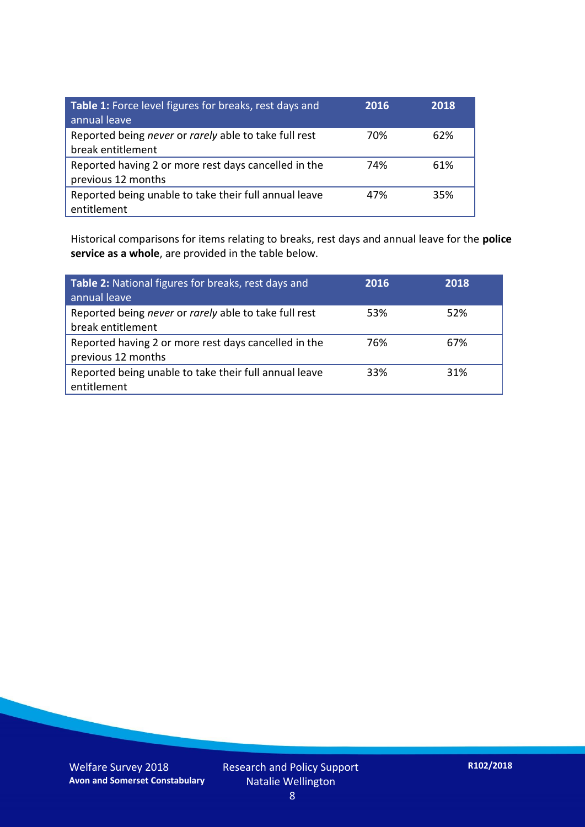| Table 1: Force level figures for breaks, rest days and<br>annual leave     | 2016 | 2018 |
|----------------------------------------------------------------------------|------|------|
| Reported being never or rarely able to take full rest<br>break entitlement | 70%  | 62%  |
| Reported having 2 or more rest days cancelled in the<br>previous 12 months | 74%  | 61%  |
| Reported being unable to take their full annual leave<br>entitlement       | 47%  | 35%  |

Historical comparisons for items relating to breaks, rest days and annual leave for the **police service as a whole**, are provided in the table below.

| Table 2: National figures for breaks, rest days and<br>annual leave        | 2016 | 2018 |
|----------------------------------------------------------------------------|------|------|
| Reported being never or rarely able to take full rest<br>break entitlement | 53%  | 52%  |
| Reported having 2 or more rest days cancelled in the<br>previous 12 months | 76%  | 67%  |
| Reported being unable to take their full annual leave<br>entitlement       | 33%  | 31%  |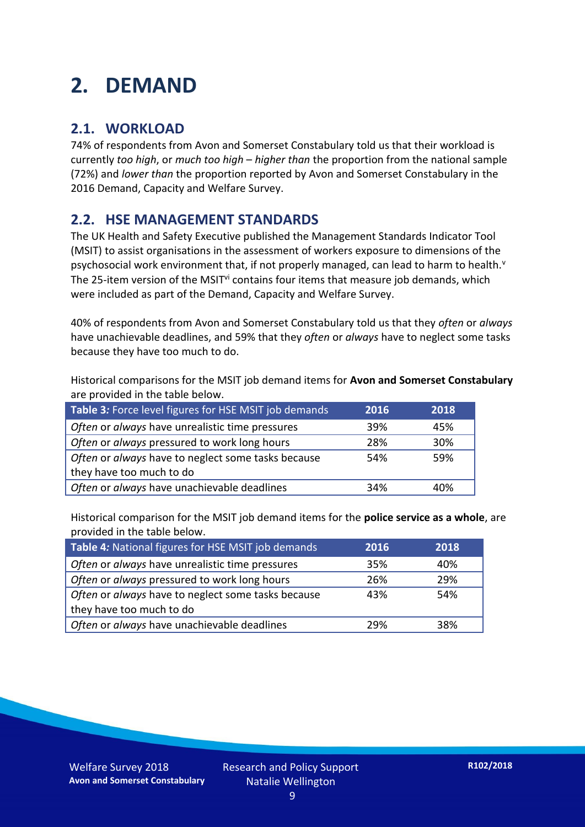## **2. DEMAND**

### **2.1. WORKLOAD**

74% of respondents from Avon and Somerset Constabulary told us that their workload is currently *too high*, or *much too high* – *higher than* the proportion from the national sample (72%) and *lower than* the proportion reported by Avon and Somerset Constabulary in the 2016 Demand, Capacity and Welfare Survey.

### **2.2. HSE MANAGEMENT STANDARDS**

The UK Health and Safety Executive published the Management Standards Indicator Tool (MSIT) to assist organisations in the assessment of workers exposure to dimensions of the psychosocial work environment that, if not properly managed, can lead to harm to health.<sup>v</sup> The 25-item version of the MSIT<sup>vi</sup> contains four items that measure job demands, which were included as part of the Demand, Capacity and Welfare Survey.

40% of respondents from Avon and Somerset Constabulary told us that they *often* or *always* have unachievable deadlines, and 59% that they *often* or *always* have to neglect some tasks because they have too much to do.

Historical comparisons for the MSIT job demand items for **Avon and Somerset Constabulary** are provided in the table below.

| Table 3: Force level figures for HSE MSIT job demands | 2016 | 2018 |
|-------------------------------------------------------|------|------|
| Often or always have unrealistic time pressures       | 39%  | 45%  |
| Often or always pressured to work long hours          | 28%  | 30%  |
| Often or always have to neglect some tasks because    | 54%  | 59%  |
| they have too much to do                              |      |      |
| Often or always have unachievable deadlines           | 34%  | 40%  |

Historical comparison for the MSIT job demand items for the **police service as a whole**, are provided in the table below.

| Table 4: National figures for HSE MSIT job demands | 2016 | 2018 |
|----------------------------------------------------|------|------|
| Often or always have unrealistic time pressures    | 35%  | 40%  |
| Often or always pressured to work long hours       | 26%  | 29%  |
| Often or always have to neglect some tasks because | 43%  | 54%  |
| they have too much to do                           |      |      |
| Often or always have unachievable deadlines        | 29%  | 38%  |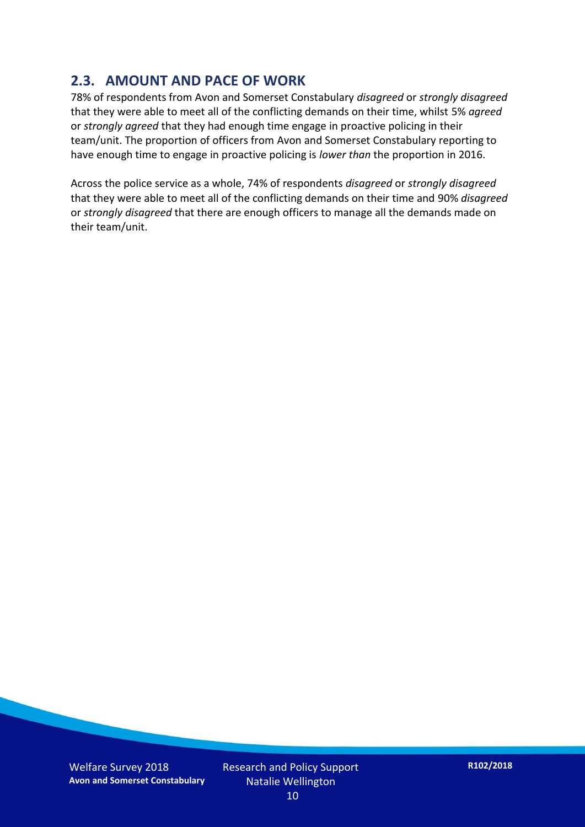### **2.3. AMOUNT AND PACE OF WORK**

78% of respondents from Avon and Somerset Constabulary *disagreed* or *strongly disagreed* that they were able to meet all of the conflicting demands on their time, whilst 5% *agreed* or *strongly agreed* that they had enough time engage in proactive policing in their team/unit. The proportion of officers from Avon and Somerset Constabulary reporting to have enough time to engage in proactive policing is *lower than* the proportion in 2016.

Across the police service as a whole, 74% of respondents *disagreed* or *strongly disagreed* that they were able to meet all of the conflicting demands on their time and 90% *disagreed* or *strongly disagreed* that there are enough officers to manage all the demands made on their team/unit.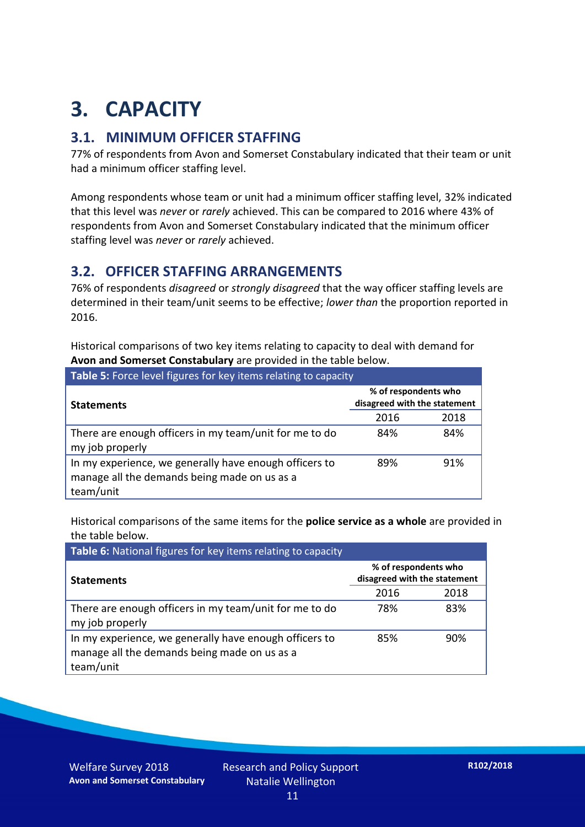## **3. CAPACITY**

### **3.1. MINIMUM OFFICER STAFFING**

77% of respondents from Avon and Somerset Constabulary indicated that their team or unit had a minimum officer staffing level.

Among respondents whose team or unit had a minimum officer staffing level, 32% indicated that this level was *never* or *rarely* achieved. This can be compared to 2016 where 43% of respondents from Avon and Somerset Constabulary indicated that the minimum officer staffing level was *never* or *rarely* achieved.

### **3.2. OFFICER STAFFING ARRANGEMENTS**

76% of respondents *disagreed* or *strongly disagreed* that the way officer staffing levels are determined in their team/unit seems to be effective; *lower than* the proportion reported in 2016.

Historical comparisons of two key items relating to capacity to deal with demand for **Avon and Somerset Constabulary** are provided in the table below.

| Table 5: Force level figures for key items relating to capacity                                                     |                                                      |      |  |  |
|---------------------------------------------------------------------------------------------------------------------|------------------------------------------------------|------|--|--|
| <b>Statements</b>                                                                                                   | % of respondents who<br>disagreed with the statement |      |  |  |
|                                                                                                                     | 2016                                                 | 2018 |  |  |
| There are enough officers in my team/unit for me to do<br>my job properly                                           | 84%                                                  | 84%  |  |  |
| In my experience, we generally have enough officers to<br>manage all the demands being made on us as a<br>team/unit | 89%                                                  | 91%  |  |  |

Historical comparisons of the same items for the **police service as a whole** are provided in the table below.

| Table 6: National figures for key items relating to capacity                                                        |                                                      |      |  |
|---------------------------------------------------------------------------------------------------------------------|------------------------------------------------------|------|--|
| <b>Statements</b>                                                                                                   | % of respondents who<br>disagreed with the statement |      |  |
|                                                                                                                     | 2016                                                 | 2018 |  |
| There are enough officers in my team/unit for me to do<br>my job properly                                           | 78%                                                  | 83%  |  |
| In my experience, we generally have enough officers to<br>manage all the demands being made on us as a<br>team/unit | 85%                                                  | 90%  |  |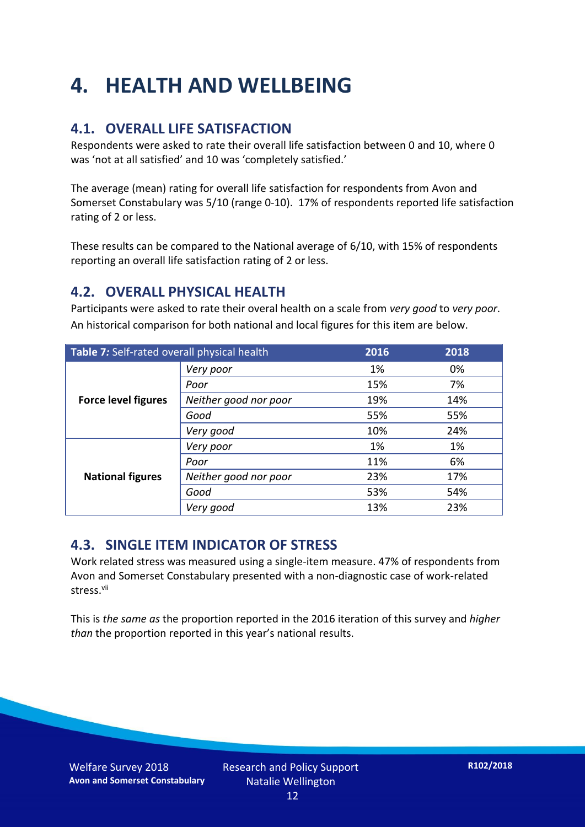## **4. HEALTH AND WELLBEING**

## **4.1. OVERALL LIFE SATISFACTION**

Respondents were asked to rate their overall life satisfaction between 0 and 10, where 0 was 'not at all satisfied' and 10 was 'completely satisfied.'

The average (mean) rating for overall life satisfaction for respondents from Avon and Somerset Constabulary was 5/10 (range 0-10). 17% of respondents reported life satisfaction rating of 2 or less.

These results can be compared to the National average of 6/10, with 15% of respondents reporting an overall life satisfaction rating of 2 or less.

### **4.2. OVERALL PHYSICAL HEALTH**

Participants were asked to rate their overal health on a scale from *very good* to *very poor*. An historical comparison for both national and local figures for this item are below.

| Table 7: Self-rated overall physical health |                       | 2016 | 2018 |
|---------------------------------------------|-----------------------|------|------|
|                                             | Very poor             | 1%   | 0%   |
|                                             | Poor                  | 15%  | 7%   |
| <b>Force level figures</b>                  | Neither good nor poor | 19%  | 14%  |
|                                             | Good                  | 55%  | 55%  |
|                                             | Very good             | 10%  | 24%  |
| <b>National figures</b>                     | Very poor             | 1%   | 1%   |
|                                             | Poor                  | 11%  | 6%   |
|                                             | Neither good nor poor | 23%  | 17%  |
|                                             | Good                  | 53%  | 54%  |
|                                             | Very good             | 13%  | 23%  |

### **4.3. SINGLE ITEM INDICATOR OF STRESS**

Work related stress was measured using a single-item measure. 47% of respondents from Avon and Somerset Constabulary presented with a non-diagnostic case of work-related stress.vii

This is *the same as* the proportion reported in the 2016 iteration of this survey and *higher than* the proportion reported in this year's national results.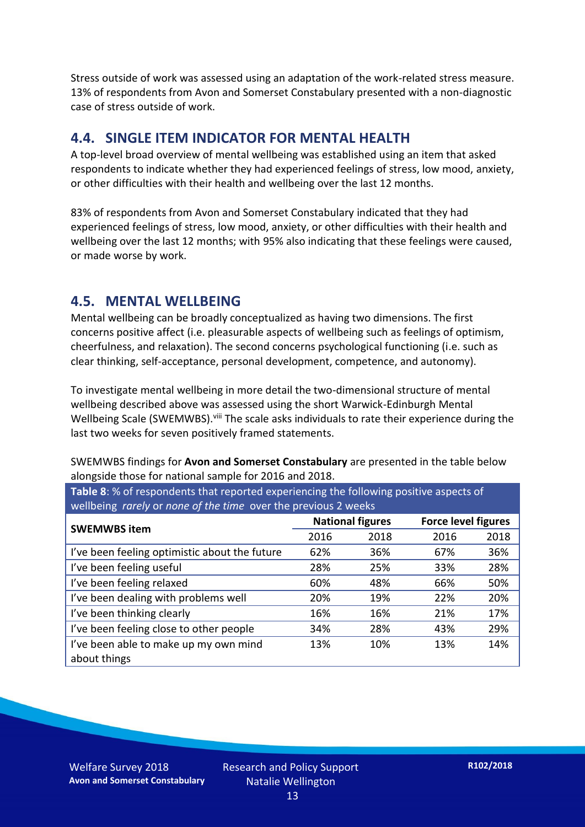Stress outside of work was assessed using an adaptation of the work-related stress measure. 13% of respondents from Avon and Somerset Constabulary presented with a non-diagnostic case of stress outside of work.

#### **4.4. SINGLE ITEM INDICATOR FOR MENTAL HEALTH**

A top-level broad overview of mental wellbeing was established using an item that asked respondents to indicate whether they had experienced feelings of stress, low mood, anxiety, or other difficulties with their health and wellbeing over the last 12 months.

83% of respondents from Avon and Somerset Constabulary indicated that they had experienced feelings of stress, low mood, anxiety, or other difficulties with their health and wellbeing over the last 12 months; with 95% also indicating that these feelings were caused, or made worse by work.

#### **4.5. MENTAL WELLBEING**

Mental wellbeing can be broadly conceptualized as having two dimensions. The first concerns positive affect (i.e. pleasurable aspects of wellbeing such as feelings of optimism, cheerfulness, and relaxation). The second concerns psychological functioning (i.e. such as clear thinking, self-acceptance, personal development, competence, and autonomy).

To investigate mental wellbeing in more detail the two-dimensional structure of mental wellbeing described above was assessed using the short Warwick-Edinburgh Mental Wellbeing Scale (SWEMWBS). viii The scale asks individuals to rate their experience during the last two weeks for seven positively framed statements.

SWEMWBS findings for **Avon and Somerset Constabulary** are presented in the table below alongside those for national sample for 2016 and 2018.

| <b>Table 8:</b> % of respondents that reported experiencing the following positive aspects of |      |                         |                            |      |
|-----------------------------------------------------------------------------------------------|------|-------------------------|----------------------------|------|
| wellbeing rarely or none of the time over the previous 2 weeks                                |      |                         |                            |      |
| <b>SWEMWBS item</b>                                                                           |      | <b>National figures</b> | <b>Force level figures</b> |      |
|                                                                                               | 2016 | 2018                    | 2016                       | 2018 |

| <b>SWEMWBS item</b>                           | nananan mpara |      |      |      |
|-----------------------------------------------|---------------|------|------|------|
|                                               | 2016          | 2018 | 2016 | 2018 |
| I've been feeling optimistic about the future | 62%           | 36%  | 67%  | 36%  |
| I've been feeling useful                      | 28%           | 25%  | 33%  | 28%  |
| I've been feeling relaxed                     | 60%           | 48%  | 66%  | 50%  |
| I've been dealing with problems well          | 20%           | 19%  | 22%  | 20%  |
| I've been thinking clearly                    | 16%           | 16%  | 21%  | 17%  |
| I've been feeling close to other people       | 34%           | 28%  | 43%  | 29%  |
| I've been able to make up my own mind         | 13%           | 10%  | 13%  | 14%  |
| about things                                  |               |      |      |      |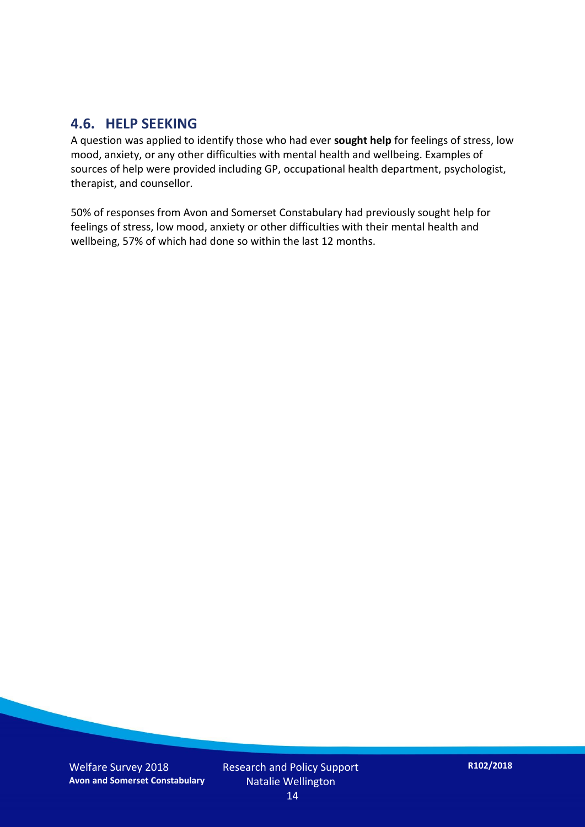#### **4.6. HELP SEEKING**

A question was applied to identify those who had ever **sought help** for feelings of stress, low mood, anxiety, or any other difficulties with mental health and wellbeing. Examples of sources of help were provided including GP, occupational health department, psychologist, therapist, and counsellor.

50% of responses from Avon and Somerset Constabulary had previously sought help for feelings of stress, low mood, anxiety or other difficulties with their mental health and wellbeing, 57% of which had done so within the last 12 months.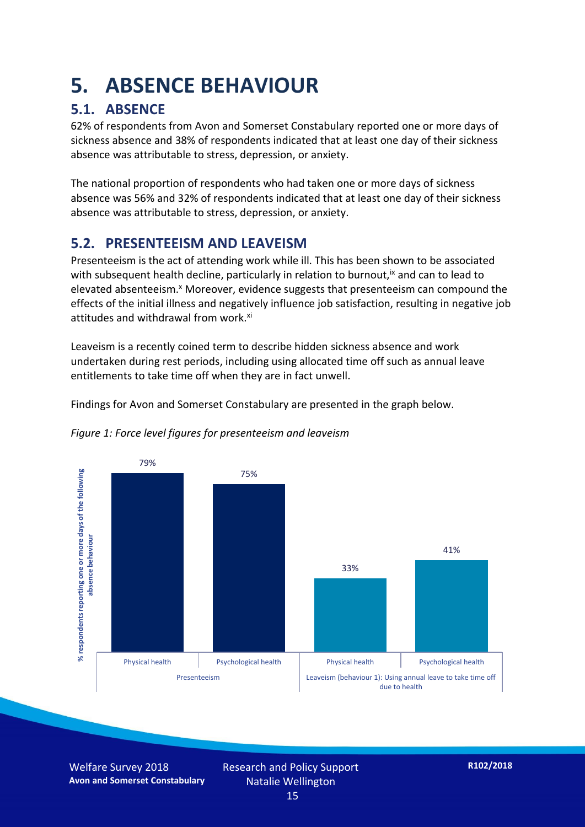## **5. ABSENCE BEHAVIOUR**

## **5.1. ABSENCE**

62% of respondents from Avon and Somerset Constabulary reported one or more days of sickness absence and 38% of respondents indicated that at least one day of their sickness absence was attributable to stress, depression, or anxiety.

The national proportion of respondents who had taken one or more days of sickness absence was 56% and 32% of respondents indicated that at least one day of their sickness absence was attributable to stress, depression, or anxiety.

### **5.2. PRESENTEEISM AND LEAVEISM**

Presenteeism is the act of attending work while ill. This has been shown to be associated with subsequent health decline, particularly in relation to burnout,  $\alpha$  and can to lead to elevated absenteeism.<sup>x</sup> Moreover, evidence suggests that presenteeism can compound the effects of the initial illness and negatively influence job satisfaction, resulting in negative job attitudes and withdrawal from work.<sup>xi</sup>

Leaveism is a recently coined term to describe hidden sickness absence and work undertaken during rest periods, including using allocated time off such as annual leave entitlements to take time off when they are in fact unwell.

Findings for Avon and Somerset Constabulary are presented in the graph below.



*Figure 1: Force level figures for presenteeism and leaveism*

Welfare Survey 2018 **Avon and Somerset Constabulary** Research and Policy Support Natalie Wellington 15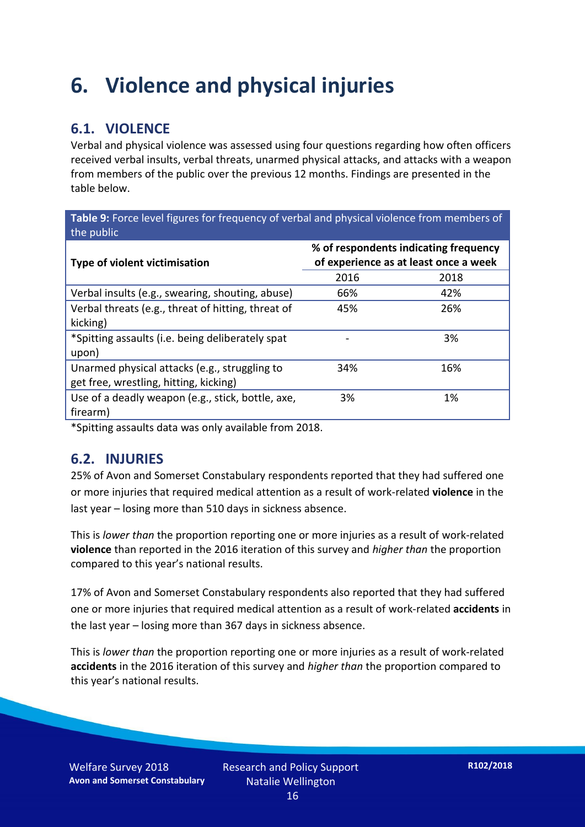## **6. Violence and physical injuries**

## **6.1. VIOLENCE**

Verbal and physical violence was assessed using four questions regarding how often officers received verbal insults, verbal threats, unarmed physical attacks, and attacks with a weapon from members of the public over the previous 12 months. Findings are presented in the table below.

**Table 9:** Force level figures for frequency of verbal and physical violence from members of the public

| Type of violent victimisation                      | % of respondents indicating frequency<br>of experience as at least once a week |      |  |
|----------------------------------------------------|--------------------------------------------------------------------------------|------|--|
|                                                    | 2016                                                                           | 2018 |  |
| Verbal insults (e.g., swearing, shouting, abuse)   | 66%                                                                            | 42%  |  |
| Verbal threats (e.g., threat of hitting, threat of | 45%                                                                            | 26%  |  |
| kicking)                                           |                                                                                |      |  |
| *Spitting assaults (i.e. being deliberately spat   |                                                                                | 3%   |  |
| upon)                                              |                                                                                |      |  |
| Unarmed physical attacks (e.g., struggling to      | 34%                                                                            | 16%  |  |
| get free, wrestling, hitting, kicking)             |                                                                                |      |  |
| Use of a deadly weapon (e.g., stick, bottle, axe,  | 3%                                                                             | 1%   |  |
| firearm)                                           |                                                                                |      |  |

\*Spitting assaults data was only available from 2018.

#### **6.2. INJURIES**

25% of Avon and Somerset Constabulary respondents reported that they had suffered one or more injuries that required medical attention as a result of work-related **violence** in the last year – losing more than 510 days in sickness absence.

This is *lower than* the proportion reporting one or more injuries as a result of work-related **violence** than reported in the 2016 iteration of this survey and *higher than* the proportion compared to this year's national results.

17% of Avon and Somerset Constabulary respondents also reported that they had suffered one or more injuries that required medical attention as a result of work-related **accidents** in the last year – losing more than 367 days in sickness absence.

This is *lower than* the proportion reporting one or more injuries as a result of work-related **accidents** in the 2016 iteration of this survey and *higher than* the proportion compared to this year's national results.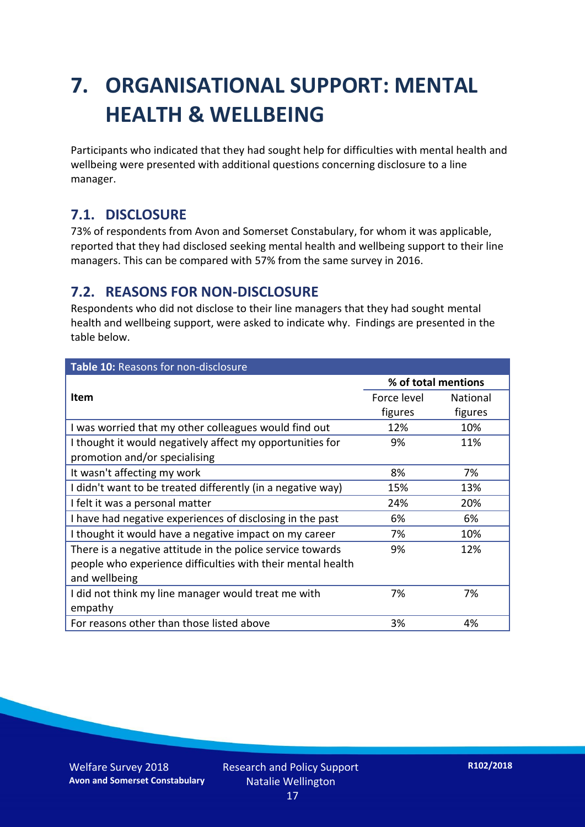## **7. ORGANISATIONAL SUPPORT: MENTAL HEALTH & WELLBEING**

Participants who indicated that they had sought help for difficulties with mental health and wellbeing were presented with additional questions concerning disclosure to a line manager.

### **7.1. DISCLOSURE**

73% of respondents from Avon and Somerset Constabulary, for whom it was applicable, reported that they had disclosed seeking mental health and wellbeing support to their line managers. This can be compared with 57% from the same survey in 2016.

### **7.2. REASONS FOR NON-DISCLOSURE**

Respondents who did not disclose to their line managers that they had sought mental health and wellbeing support, were asked to indicate why. Findings are presented in the table below.

| Table 10: Reasons for non-disclosure                        |                     |                 |  |
|-------------------------------------------------------------|---------------------|-----------------|--|
|                                                             | % of total mentions |                 |  |
| <b>Item</b>                                                 | Force level         | <b>National</b> |  |
|                                                             | figures             | figures         |  |
| I was worried that my other colleagues would find out       | 12%                 | 10%             |  |
| I thought it would negatively affect my opportunities for   | 9%                  | 11%             |  |
| promotion and/or specialising                               |                     |                 |  |
| It wasn't affecting my work                                 | 8%                  | 7%              |  |
| I didn't want to be treated differently (in a negative way) | 15%                 | 13%             |  |
| I felt it was a personal matter                             | 24%                 | 20%             |  |
| I have had negative experiences of disclosing in the past   | 6%                  | 6%              |  |
| I thought it would have a negative impact on my career      | 7%                  | 10%             |  |
| There is a negative attitude in the police service towards  | 9%                  | 12%             |  |
| people who experience difficulties with their mental health |                     |                 |  |
| and wellbeing                                               |                     |                 |  |
| I did not think my line manager would treat me with         | 7%                  | 7%              |  |
| empathy                                                     |                     |                 |  |
| For reasons other than those listed above                   | 3%                  | 4%              |  |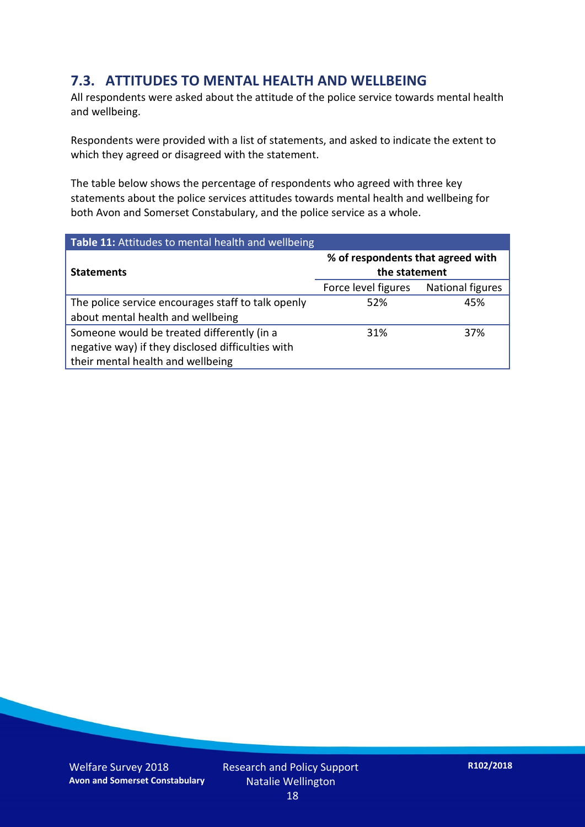### **7.3. ATTITUDES TO MENTAL HEALTH AND WELLBEING**

All respondents were asked about the attitude of the police service towards mental health and wellbeing.

Respondents were provided with a list of statements, and asked to indicate the extent to which they agreed or disagreed with the statement.

The table below shows the percentage of respondents who agreed with three key statements about the police services attitudes towards mental health and wellbeing for both Avon and Somerset Constabulary, and the police service as a whole.

| Table 11: Attitudes to mental health and wellbeing |                                                    |                  |
|----------------------------------------------------|----------------------------------------------------|------------------|
| <b>Statements</b>                                  | % of respondents that agreed with<br>the statement |                  |
|                                                    | Force level figures                                | National figures |
| The police service encourages staff to talk openly | 52%                                                | 45%              |
| about mental health and wellbeing                  |                                                    |                  |
| Someone would be treated differently (in a         | 31%                                                | 37%              |
| negative way) if they disclosed difficulties with  |                                                    |                  |
| their mental health and wellbeing                  |                                                    |                  |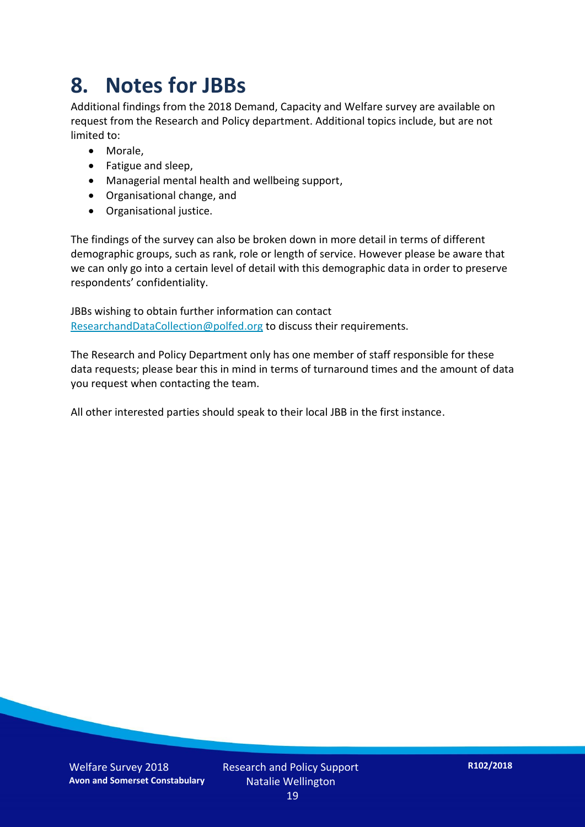## **8. Notes for JBBs**

Additional findings from the 2018 Demand, Capacity and Welfare survey are available on request from the Research and Policy department. Additional topics include, but are not limited to:

- Morale,
- Fatigue and sleep,
- Managerial mental health and wellbeing support,
- Organisational change, and
- Organisational justice.

The findings of the survey can also be broken down in more detail in terms of different demographic groups, such as rank, role or length of service. However please be aware that we can only go into a certain level of detail with this demographic data in order to preserve respondents' confidentiality.

JBBs wishing to obtain further information can contact [ResearchandDataCollection@polfed.org](mailto:ResearchandDataCollection@polfed.org) to discuss their requirements.

The Research and Policy Department only has one member of staff responsible for these data requests; please bear this in mind in terms of turnaround times and the amount of data you request when contacting the team.

All other interested parties should speak to their local JBB in the first instance.